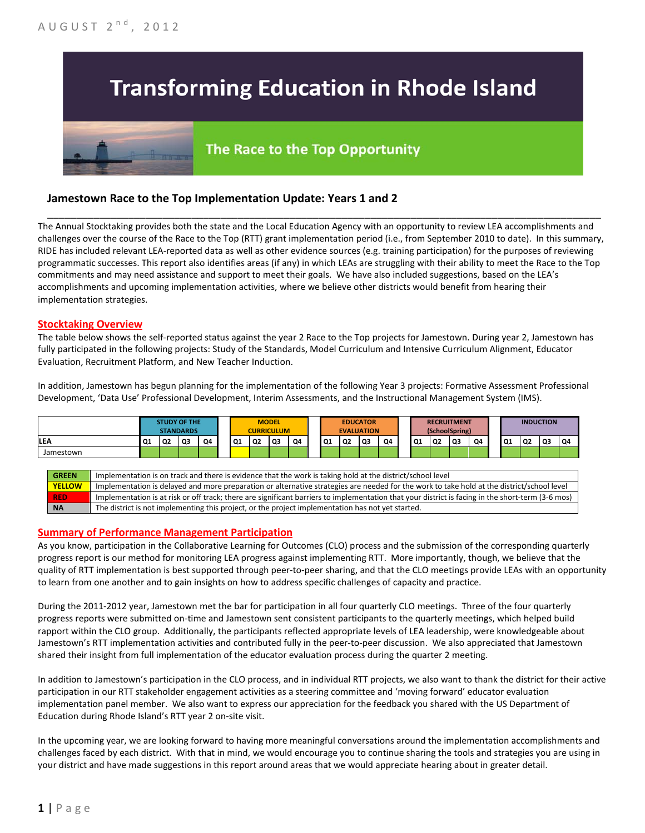# **Transforming Education in Rhode Island**

## The Race to the Top Opportunity

### **Jamestown Race to the Top Implementation Update: Years 1 and 2**

The Annual Stocktaking provides both the state and the Local Education Agency with an opportunity to review LEA accomplishments and challenges over the course of the Race to the Top (RTT) grant implementation period (i.e., from September 2010 to date). In this summary, RIDE has included relevant LEA-reported data as well as other evidence sources (e.g. training participation) for the purposes of reviewing programmatic successes. This report also identifies areas (if any) in which LEAs are struggling with their ability to meet the Race to the Top commitments and may need assistance and support to meet their goals. We have also included suggestions, based on the LEA's accomplishments and upcoming implementation activities, where we believe other districts would benefit from hearing their implementation strategies.

\_\_\_\_\_\_\_\_\_\_\_\_\_\_\_\_\_\_\_\_\_\_\_\_\_\_\_\_\_\_\_\_\_\_\_\_\_\_\_\_\_\_\_\_\_\_\_\_\_\_\_\_\_\_\_\_\_\_\_\_\_\_\_\_\_\_\_\_\_\_\_\_\_\_\_\_\_\_\_\_\_\_\_\_\_\_\_\_\_\_\_\_\_\_\_\_

#### **Stocktaking Overview**

The table below shows the self-reported status against the year 2 Race to the Top projects for Jamestown. During year 2, Jamestown has fully participated in the following projects: Study of the Standards, Model Curriculum and Intensive Curriculum Alignment, Educator Evaluation, Recruitment Platform, and New Teacher Induction.

In addition, Jamestown has begun planning for the implementation of the following Year 3 projects: Formative Assessment Professional Development, 'Data Use' Professional Development, Interim Assessments, and the Instructional Management System (IMS).



#### **Summary of Performance Management Participation**

As you know, participation in the Collaborative Learning for Outcomes (CLO) process and the submission of the corresponding quarterly progress report is our method for monitoring LEA progress against implementing RTT. More importantly, though, we believe that the quality of RTT implementation is best supported through peer-to-peer sharing, and that the CLO meetings provide LEAs with an opportunity to learn from one another and to gain insights on how to address specific challenges of capacity and practice.

During the 2011-2012 year, Jamestown met the bar for participation in all four quarterly CLO meetings. Three of the four quarterly progress reports were submitted on-time and Jamestown sent consistent participants to the quarterly meetings, which helped build rapport within the CLO group. Additionally, the participants reflected appropriate levels of LEA leadership, were knowledgeable about Jamestown's RTT implementation activities and contributed fully in the peer-to-peer discussion. We also appreciated that Jamestown shared their insight from full implementation of the educator evaluation process during the quarter 2 meeting.

In addition to Jamestown's participation in the CLO process, and in individual RTT projects, we also want to thank the district for their active participation in our RTT stakeholder engagement activities as a steering committee and 'moving forward' educator evaluation implementation panel member. We also want to express our appreciation for the feedback you shared with the US Department of Education during Rhode Island's RTT year 2 on-site visit.

In the upcoming year, we are looking forward to having more meaningful conversations around the implementation accomplishments and challenges faced by each district. With that in mind, we would encourage you to continue sharing the tools and strategies you are using in your district and have made suggestions in this report around areas that we would appreciate hearing about in greater detail.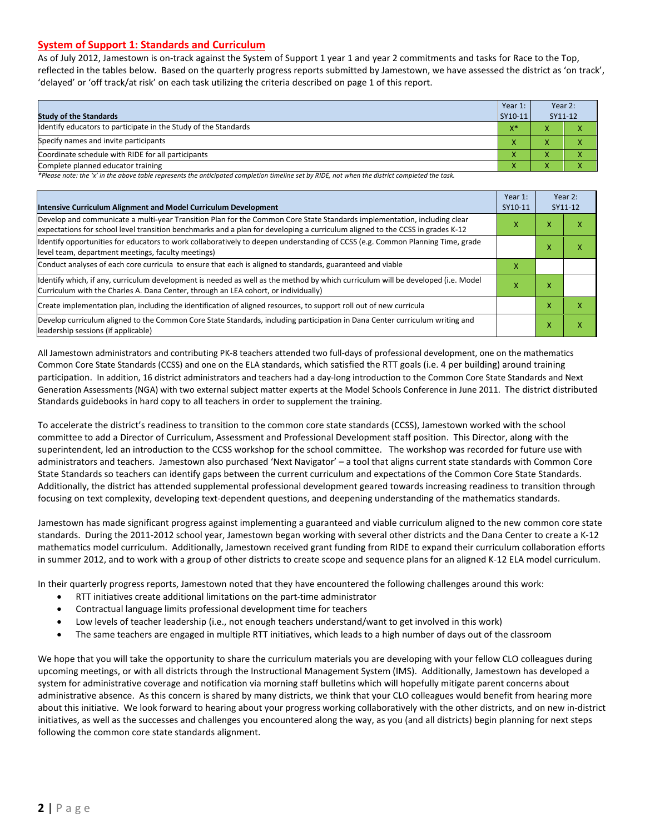#### **System of Support 1: Standards and Curriculum**

As of July 2012, Jamestown is on-track against the System of Support 1 year 1 and year 2 commitments and tasks for Race to the Top, reflected in the tables below. Based on the quarterly progress reports submitted by Jamestown, we have assessed the district as 'on track', 'delayed' or 'off track/at risk' on each task utilizing the criteria described on page 1 of this report.

| <b>Study of the Standards</b>                                   |   | Year 2:<br>SY11-12 |  |
|-----------------------------------------------------------------|---|--------------------|--|
| Identify educators to participate in the Study of the Standards |   |                    |  |
| Specify names and invite participants                           |   |                    |  |
| Coordinate schedule with RIDE for all participants              |   | v                  |  |
| Complete planned educator training                              | Λ | ∧                  |  |

*\*Please note: the 'x' in the above table represents the anticipated completion timeline set by RIDE, not when the district completed the task.*

| Intensive Curriculum Alignment and Model Curriculum Development                                                                                                                                                                                           |   |   | Year 2:<br>SY11-12 |
|-----------------------------------------------------------------------------------------------------------------------------------------------------------------------------------------------------------------------------------------------------------|---|---|--------------------|
| Develop and communicate a multi-year Transition Plan for the Common Core State Standards implementation, including clear<br>expectations for school level transition benchmarks and a plan for developing a curriculum aligned to the CCSS in grades K-12 |   |   | x                  |
| Identify opportunities for educators to work collaboratively to deepen understanding of CCSS (e.g. Common Planning Time, grade<br>level team, department meetings, faculty meetings)                                                                      |   | x | x                  |
| Conduct analyses of each core curricula to ensure that each is aligned to standards, guaranteed and viable                                                                                                                                                | x |   |                    |
| ldentify which, if any, curriculum development is needed as well as the method by which curriculum will be developed (i.e. Model<br>Curriculum with the Charles A. Dana Center, through an LEA cohort, or individually)                                   |   | x |                    |
| Create implementation plan, including the identification of aligned resources, to support roll out of new curricula                                                                                                                                       |   |   | x                  |
| Develop curriculum aligned to the Common Core State Standards, including participation in Dana Center curriculum writing and<br>leadership sessions (if applicable)                                                                                       |   |   | x                  |

All Jamestown administrators and contributing PK-8 teachers attended two full-days of professional development, one on the mathematics Common Core State Standards (CCSS) and one on the ELA standards, which satisfied the RTT goals (i.e. 4 per building) around training participation. In addition, 16 district administrators and teachers had a day-long introduction to the Common Core State Standards and Next Generation Assessments (NGA) with two external subject matter experts at the Model Schools Conference in June 2011. The district distributed Standards guidebooks in hard copy to all teachers in order to supplement the training.

To accelerate the district's readiness to transition to the common core state standards (CCSS), Jamestown worked with the school committee to add a Director of Curriculum, Assessment and Professional Development staff position. This Director, along with the superintendent, led an introduction to the CCSS workshop for the school committee. The workshop was recorded for future use with administrators and teachers. Jamestown also purchased 'Next Navigator' – a tool that aligns current state standards with Common Core State Standards so teachers can identify gaps between the current curriculum and expectations of the Common Core State Standards. Additionally, the district has attended supplemental professional development geared towards increasing readiness to transition through focusing on text complexity, developing text-dependent questions, and deepening understanding of the mathematics standards.

Jamestown has made significant progress against implementing a guaranteed and viable curriculum aligned to the new common core state standards. During the 2011-2012 school year, Jamestown began working with several other districts and the Dana Center to create a K-12 mathematics model curriculum. Additionally, Jamestown received grant funding from RIDE to expand their curriculum collaboration efforts in summer 2012, and to work with a group of other districts to create scope and sequence plans for an aligned K-12 ELA model curriculum.

In their quarterly progress reports, Jamestown noted that they have encountered the following challenges around this work:

- RTT initiatives create additional limitations on the part-time administrator
- Contractual language limits professional development time for teachers
- Low levels of teacher leadership (i.e., not enough teachers understand/want to get involved in this work)
- The same teachers are engaged in multiple RTT initiatives, which leads to a high number of days out of the classroom

We hope that you will take the opportunity to share the curriculum materials you are developing with your fellow CLO colleagues during upcoming meetings, or with all districts through the Instructional Management System (IMS). Additionally, Jamestown has developed a system for administrative coverage and notification via morning staff bulletins which will hopefully mitigate parent concerns about administrative absence. As this concern is shared by many districts, we think that your CLO colleagues would benefit from hearing more about this initiative. We look forward to hearing about your progress working collaboratively with the other districts, and on new in-district initiatives, as well as the successes and challenges you encountered along the way, as you (and all districts) begin planning for next steps following the common core state standards alignment.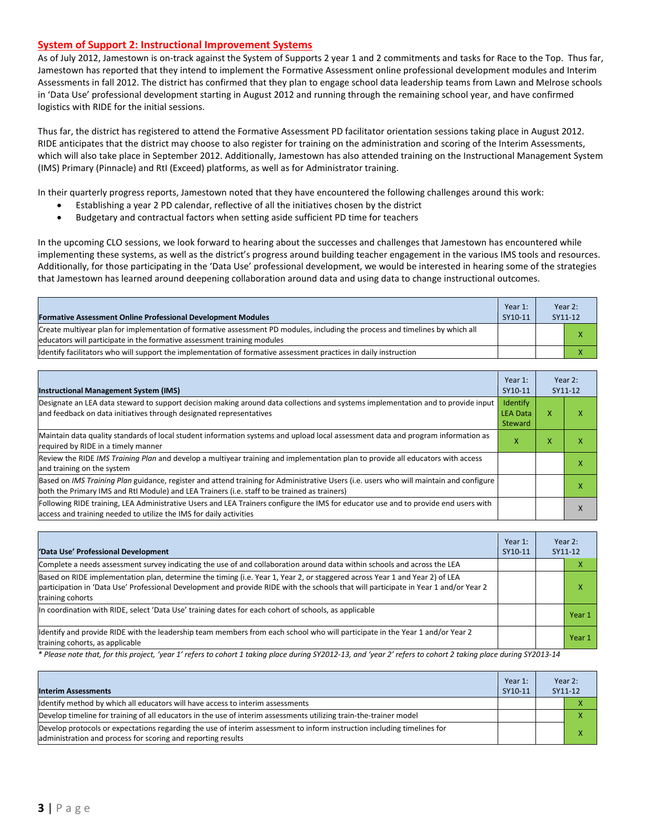#### **System of Support 2: Instructional Improvement Systems**

As of July 2012, Jamestown is on-track against the System of Supports 2 year 1 and 2 commitments and tasks for Race to the Top. Thus far, Jamestown has reported that they intend to implement the Formative Assessment online professional development modules and Interim Assessments in fall 2012. The district has confirmed that they plan to engage school data leadership teams from Lawn and Melrose schools in 'Data Use' professional development starting in August 2012 and running through the remaining school year, and have confirmed logistics with RIDE for the initial sessions.

Thus far, the district has registered to attend the Formative Assessment PD facilitator orientation sessions taking place in August 2012. RIDE anticipates that the district may choose to also register for training on the administration and scoring of the Interim Assessments, which will also take place in September 2012. Additionally, Jamestown has also attended training on the Instructional Management System (IMS) Primary (Pinnacle) and RtI (Exceed) platforms, as well as for Administrator training.

In their quarterly progress reports, Jamestown noted that they have encountered the following challenges around this work:

- Establishing a year 2 PD calendar, reflective of all the initiatives chosen by the district
- Budgetary and contractual factors when setting aside sufficient PD time for teachers

In the upcoming CLO sessions, we look forward to hearing about the successes and challenges that Jamestown has encountered while implementing these systems, as well as the district's progress around building teacher engagement in the various IMS tools and resources. Additionally, for those participating in the 'Data Use' professional development, we would be interested in hearing some of the strategies that Jamestown has learned around deepening collaboration around data and using data to change instructional outcomes.

| <b>Formative Assessment Online Professional Development Modules</b>                                                                                                                                      | Year 1:<br>SY10-11 | Year 2:<br>SY11-12 |
|----------------------------------------------------------------------------------------------------------------------------------------------------------------------------------------------------------|--------------------|--------------------|
| Create multiyear plan for implementation of formative assessment PD modules, including the process and timelines by which all<br>educators will participate in the formative assessment training modules |                    |                    |
| Ildentify facilitators who will support the implementation of formative assessment practices in daily instruction                                                                                        |                    |                    |

| <b>Instructional Management System (IMS)</b>                                                                                                                                                                                           | Year 1:<br>SY10-11                     |   | Year 2:<br>SY11-12 |
|----------------------------------------------------------------------------------------------------------------------------------------------------------------------------------------------------------------------------------------|----------------------------------------|---|--------------------|
| Designate an LEA data steward to support decision making around data collections and systems implementation and to provide input<br>and feedback on data initiatives through designated representatives                                | Identify<br><b>LEA Data</b><br>Steward | x |                    |
| Maintain data quality standards of local student information systems and upload local assessment data and program information as<br>required by RIDE in a timely manner                                                                | X.                                     | x | л                  |
| Review the RIDE IMS Training Plan and develop a multivear training and implementation plan to provide all educators with access<br>and training on the system                                                                          |                                        |   |                    |
| Based on IMS Training Plan guidance, register and attend training for Administrative Users (i.e. users who will maintain and configure<br>both the Primary IMS and RtI Module) and LEA Trainers (i.e. staff to be trained as trainers) |                                        |   | x                  |
| Following RIDE training, LEA Administrative Users and LEA Trainers configure the IMS for educator use and to provide end users with<br>access and training needed to utilize the IMS for daily activities                              |                                        |   | л                  |

| 'Data Use' Professional Development                                                                                                                                                                                                                                                     | Year 1:<br>SY10-11 | Year 2:<br>SY11-12 |
|-----------------------------------------------------------------------------------------------------------------------------------------------------------------------------------------------------------------------------------------------------------------------------------------|--------------------|--------------------|
| Complete a needs assessment survey indicating the use of and collaboration around data within schools and across the LEA                                                                                                                                                                |                    |                    |
| Based on RIDE implementation plan, determine the timing (i.e. Year 1, Year 2, or staggered across Year 1 and Year 2) of LEA<br>participation in 'Data Use' Professional Development and provide RIDE with the schools that will participate in Year 1 and/or Year 2<br>training cohorts |                    | x                  |
| In coordination with RIDE, select 'Data Use' training dates for each cohort of schools, as applicable                                                                                                                                                                                   |                    | Year 1             |
| ldentify and provide RIDE with the leadership team members from each school who will participate in the Year 1 and/or Year 2<br>training cohorts, as applicable                                                                                                                         |                    | Year 1             |

*\* Please note that, for this project, 'year 1' refers to cohort 1 taking place during SY2012-13, and 'year 2' refers to cohort 2 taking place during SY2013-14*

| <b>Interim Assessments</b>                                                                                                                                                              | Year 1:<br>SY10-11 | Year $2$ :<br>SY11-12 |  |
|-----------------------------------------------------------------------------------------------------------------------------------------------------------------------------------------|--------------------|-----------------------|--|
| Identify method by which all educators will have access to interim assessments                                                                                                          |                    |                       |  |
| Develop timeline for training of all educators in the use of interim assessments utilizing train-the-trainer model                                                                      |                    |                       |  |
| Develop protocols or expectations regarding the use of interim assessment to inform instruction including timelines for<br>administration and process for scoring and reporting results |                    |                       |  |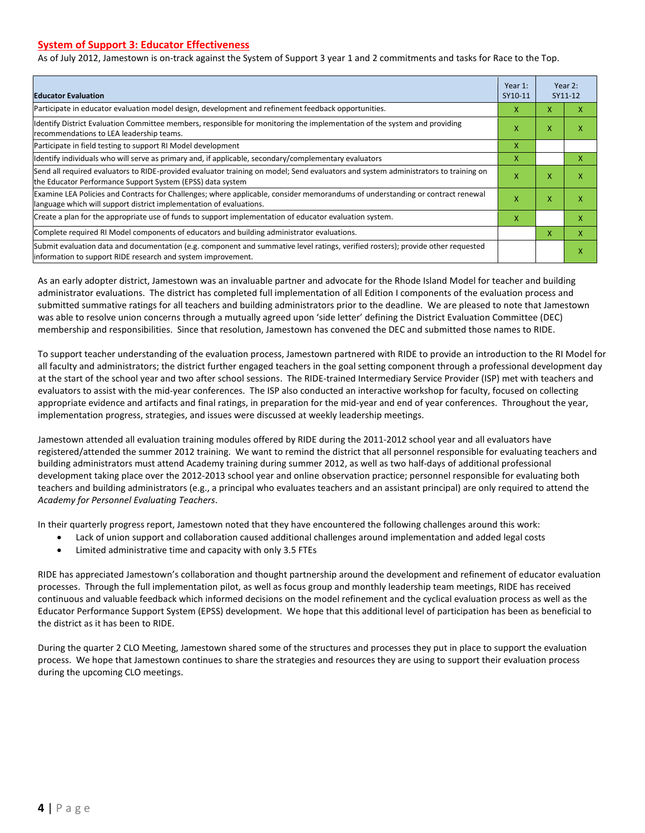#### **System of Support 3: Educator Effectiveness**

As of July 2012, Jamestown is on-track against the System of Support 3 year 1 and 2 commitments and tasks for Race to the Top.

| <b>Educator Evaluation</b>                                                                                                                                                                            |   |   | Year 2:<br>SY11-12 |
|-------------------------------------------------------------------------------------------------------------------------------------------------------------------------------------------------------|---|---|--------------------|
| Participate in educator evaluation model design, development and refinement feedback opportunities.                                                                                                   | x | x | x                  |
| Identify District Evaluation Committee members, responsible for monitoring the implementation of the system and providing<br>recommendations to LEA leadership teams.                                 | x | X | x                  |
| Participate in field testing to support RI Model development                                                                                                                                          | X |   |                    |
| Identify individuals who will serve as primary and, if applicable, secondary/complementary evaluators                                                                                                 | X |   | x                  |
| Send all required evaluators to RIDE-provided evaluator training on model; Send evaluators and system administrators to training on<br>the Educator Performance Support System (EPSS) data system     | X | X | X                  |
| Examine LEA Policies and Contracts for Challenges; where applicable, consider memorandums of understanding or contract renewal<br>language which will support district implementation of evaluations. | x | X | X                  |
| Create a plan for the appropriate use of funds to support implementation of educator evaluation system.                                                                                               |   |   | x                  |
| Complete required RI Model components of educators and building administrator evaluations.                                                                                                            |   |   | x                  |
| Submit evaluation data and documentation (e.g. component and summative level ratings, verified rosters); provide other requested<br>information to support RIDE research and system improvement.      |   |   | X                  |

As an early adopter district, Jamestown was an invaluable partner and advocate for the Rhode Island Model for teacher and building administrator evaluations. The district has completed full implementation of all Edition I components of the evaluation process and submitted summative ratings for all teachers and building administrators prior to the deadline. We are pleased to note that Jamestown was able to resolve union concerns through a mutually agreed upon 'side letter' defining the District Evaluation Committee (DEC) membership and responsibilities. Since that resolution, Jamestown has convened the DEC and submitted those names to RIDE.

To support teacher understanding of the evaluation process, Jamestown partnered with RIDE to provide an introduction to the RI Model for all faculty and administrators; the district further engaged teachers in the goal setting component through a professional development day at the start of the school year and two after school sessions. The RIDE-trained Intermediary Service Provider (ISP) met with teachers and evaluators to assist with the mid-year conferences. The ISP also conducted an interactive workshop for faculty, focused on collecting appropriate evidence and artifacts and final ratings, in preparation for the mid-year and end of year conferences. Throughout the year, implementation progress, strategies, and issues were discussed at weekly leadership meetings.

Jamestown attended all evaluation training modules offered by RIDE during the 2011-2012 school year and all evaluators have registered/attended the summer 2012 training. We want to remind the district that all personnel responsible for evaluating teachers and building administrators must attend Academy training during summer 2012, as well as two half-days of additional professional development taking place over the 2012-2013 school year and online observation practice; personnel responsible for evaluating both teachers and building administrators (e.g., a principal who evaluates teachers and an assistant principal) are only required to attend the *Academy for Personnel Evaluating Teachers*.

In their quarterly progress report, Jamestown noted that they have encountered the following challenges around this work:

- Lack of union support and collaboration caused additional challenges around implementation and added legal costs
- Limited administrative time and capacity with only 3.5 FTEs

RIDE has appreciated Jamestown's collaboration and thought partnership around the development and refinement of educator evaluation processes. Through the full implementation pilot, as well as focus group and monthly leadership team meetings, RIDE has received continuous and valuable feedback which informed decisions on the model refinement and the cyclical evaluation process as well as the Educator Performance Support System (EPSS) development. We hope that this additional level of participation has been as beneficial to the district as it has been to RIDE.

During the quarter 2 CLO Meeting, Jamestown shared some of the structures and processes they put in place to support the evaluation process. We hope that Jamestown continues to share the strategies and resources they are using to support their evaluation process during the upcoming CLO meetings.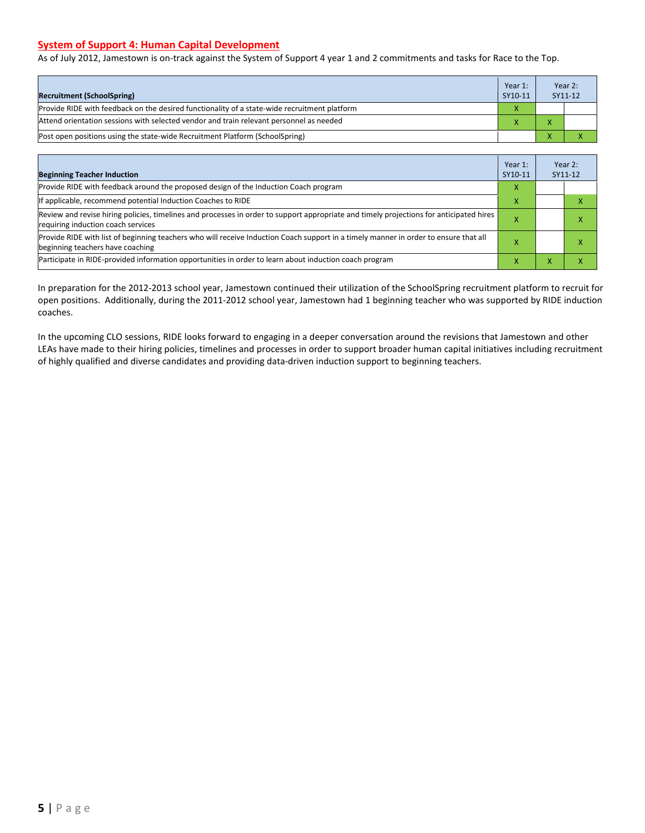#### **System of Support 4: Human Capital Development**

As of July 2012, Jamestown is on-track against the System of Support 4 year 1 and 2 commitments and tasks for Race to the Top.

| <b>Recruitment (SchoolSpring)</b>                                                            | Year 1:<br>SY10-11 | Year 2:<br>SY11-12 |
|----------------------------------------------------------------------------------------------|--------------------|--------------------|
| Provide RIDE with feedback on the desired functionality of a state-wide recruitment platform | X                  |                    |
| Attend orientation sessions with selected vendor and train relevant personnel as needed      |                    |                    |
| Post open positions using the state-wide Recruitment Platform (SchoolSpring)                 |                    |                    |

| <b>Beginning Teacher Induction</b>                                                                                                                                            | Year 1:<br>SY10-11 |  | Year 2:<br>SY11-12 |
|-------------------------------------------------------------------------------------------------------------------------------------------------------------------------------|--------------------|--|--------------------|
| Provide RIDE with feedback around the proposed design of the Induction Coach program                                                                                          |                    |  |                    |
| If applicable, recommend potential Induction Coaches to RIDE                                                                                                                  | x                  |  |                    |
| Review and revise hiring policies, timelines and processes in order to support appropriate and timely projections for anticipated hires<br>requiring induction coach services | ж                  |  |                    |
| Provide RIDE with list of beginning teachers who will receive Induction Coach support in a timely manner in order to ensure that all<br>beginning teachers have coaching      |                    |  |                    |
| Participate in RIDE-provided information opportunities in order to learn about induction coach program                                                                        |                    |  |                    |

In preparation for the 2012-2013 school year, Jamestown continued their utilization of the SchoolSpring recruitment platform to recruit for open positions. Additionally, during the 2011-2012 school year, Jamestown had 1 beginning teacher who was supported by RIDE induction coaches.

In the upcoming CLO sessions, RIDE looks forward to engaging in a deeper conversation around the revisions that Jamestown and other LEAs have made to their hiring policies, timelines and processes in order to support broader human capital initiatives including recruitment of highly qualified and diverse candidates and providing data-driven induction support to beginning teachers.